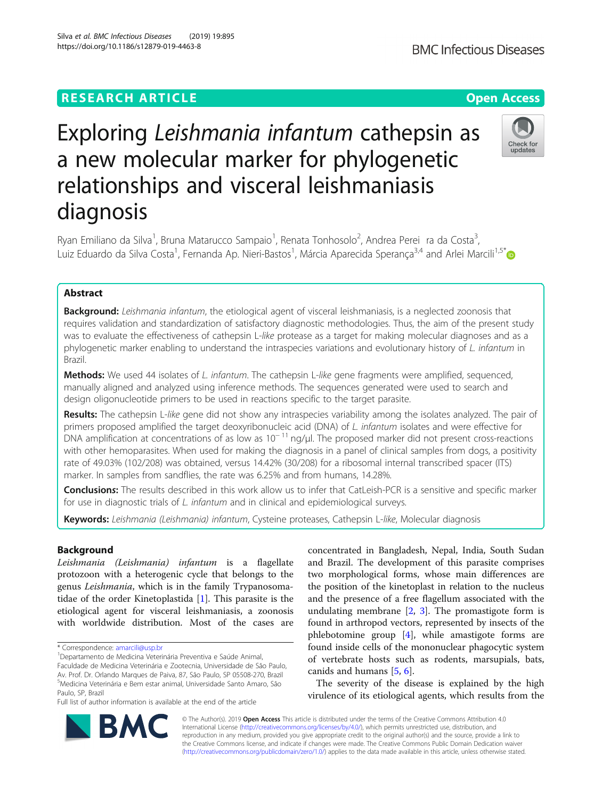## **RESEARCH ARTICLE Example 2014 12:30 The Contract of Contract ACCESS**

# Exploring Leishmania infantum cathepsin as a new molecular marker for phylogenetic relationships and visceral leishmaniasis diagnosis

Ryan Emiliano da Silva<sup>1</sup>, Bruna Matarucco Sampaio<sup>1</sup>, Renata Tonhosolo<sup>2</sup>, Andrea Perei ra da Costa<sup>3</sup> , Luiz Eduardo da Silva Costa<sup>1</sup>, Fernanda Ap. Nieri-Bastos<sup>1</sup>, Márcia Aparecida Sperança<sup>3,4</sup> and Arlei Marcili<sup>1,5[\\*](http://orcid.org/0000-0002-0478-6771)</sup>

## Abstract

Background: Leishmania infantum, the etiological agent of visceral leishmaniasis, is a neglected zoonosis that requires validation and standardization of satisfactory diagnostic methodologies. Thus, the aim of the present study was to evaluate the effectiveness of cathepsin L-like protease as a target for making molecular diagnoses and as a phylogenetic marker enabling to understand the intraspecies variations and evolutionary history of L. infantum in Brazil.

Methods: We used 44 isolates of L. infantum. The cathepsin L-like gene fragments were amplified, sequenced, manually aligned and analyzed using inference methods. The sequences generated were used to search and design oligonucleotide primers to be used in reactions specific to the target parasite.

Results: The cathepsin L-like gene did not show any intraspecies variability among the isolates analyzed. The pair of primers proposed amplified the target deoxyribonucleic acid (DNA) of L. infantum isolates and were effective for DNA amplification at concentrations of as low as  $10^{-11}$  ng/ul. The proposed marker did not present cross-reactions with other hemoparasites. When used for making the diagnosis in a panel of clinical samples from dogs, a positivity rate of 49.03% (102/208) was obtained, versus 14.42% (30/208) for a ribosomal internal transcribed spacer (ITS) marker. In samples from sandflies, the rate was 6.25% and from humans, 14.28%.

Conclusions: The results described in this work allow us to infer that CatLeish-PCR is a sensitive and specific marker for use in diagnostic trials of L. infantum and in clinical and epidemiological surveys.

Keywords: Leishmania (Leishmania) infantum, Cysteine proteases, Cathepsin L-like, Molecular diagnosis

## Background

Leishmania (Leishmania) infantum is a flagellate protozoon with a heterogenic cycle that belongs to the genus Leishmania, which is in the family Trypanosomatidae of the order Kinetoplastida [[1\]](#page-7-0). This parasite is the etiological agent for visceral leishmaniasis, a zoonosis with worldwide distribution. Most of the cases are

\* Correspondence: [amarcili@usp.br](mailto:amarcili@usp.br) <sup>1</sup>

Departamento de Medicina Veterinária Preventiva e Saúde Animal, Faculdade de Medicina Veterinária e Zootecnia, Universidade de São Paulo, Av. Prof. Dr. Orlando Marques de Paiva, 87, São Paulo, SP 05508-270, Brazil 5 Medicina Veterinária e Bem estar animal, Universidade Santo Amaro, São

Full list of author information is available at the end of the article

concentrated in Bangladesh, Nepal, India, South Sudan and Brazil. The development of this parasite comprises two morphological forms, whose main differences are the position of the kinetoplast in relation to the nucleus and the presence of a free flagellum associated with the undulating membrane [\[2](#page-7-0), [3](#page-7-0)]. The promastigote form is found in arthropod vectors, represented by insects of the phlebotomine group [\[4](#page-7-0)], while amastigote forms are found inside cells of the mononuclear phagocytic system of vertebrate hosts such as rodents, marsupials, bats, canids and humans [[5,](#page-7-0) [6\]](#page-7-0).

The severity of the disease is explained by the high virulence of its etiological agents, which results from the

© The Author(s). 2019 **Open Access** This article is distributed under the terms of the Creative Commons Attribution 4.0 International License [\(http://creativecommons.org/licenses/by/4.0/](http://creativecommons.org/licenses/by/4.0/)), which permits unrestricted use, distribution, and reproduction in any medium, provided you give appropriate credit to the original author(s) and the source, provide a link to the Creative Commons license, and indicate if changes were made. The Creative Commons Public Domain Dedication waiver [\(http://creativecommons.org/publicdomain/zero/1.0/](http://creativecommons.org/publicdomain/zero/1.0/)) applies to the data made available in this article, unless otherwise stated.

Paulo, SP, Brazil





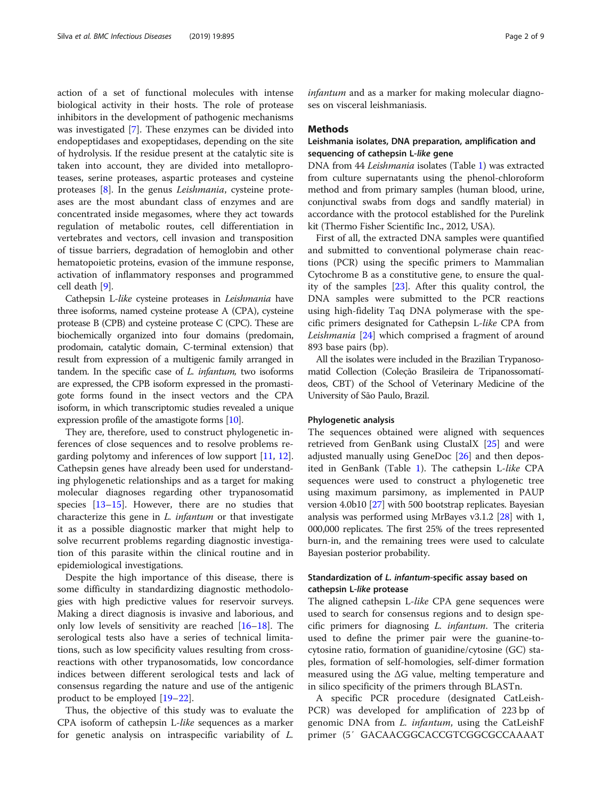action of a set of functional molecules with intense biological activity in their hosts. The role of protease inhibitors in the development of pathogenic mechanisms was investigated [\[7](#page-7-0)]. These enzymes can be divided into endopeptidases and exopeptidases, depending on the site of hydrolysis. If the residue present at the catalytic site is taken into account, they are divided into metalloproteases, serine proteases, aspartic proteases and cysteine proteases [\[8](#page-7-0)]. In the genus Leishmania, cysteine proteases are the most abundant class of enzymes and are concentrated inside megasomes, where they act towards regulation of metabolic routes, cell differentiation in vertebrates and vectors, cell invasion and transposition of tissue barriers, degradation of hemoglobin and other hematopoietic proteins, evasion of the immune response, activation of inflammatory responses and programmed cell death [\[9](#page-7-0)].

Cathepsin L-like cysteine proteases in Leishmania have three isoforms, named cysteine protease A (CPA), cysteine protease B (CPB) and cysteine protease C (CPC). These are biochemically organized into four domains (predomain, prodomain, catalytic domain, C-terminal extension) that result from expression of a multigenic family arranged in tandem. In the specific case of L. infantum, two isoforms are expressed, the CPB isoform expressed in the promastigote forms found in the insect vectors and the CPA isoform, in which transcriptomic studies revealed a unique expression profile of the amastigote forms [\[10\]](#page-7-0).

They are, therefore, used to construct phylogenetic inferences of close sequences and to resolve problems regarding polytomy and inferences of low support [\[11](#page-7-0), [12](#page-7-0)]. Cathepsin genes have already been used for understanding phylogenetic relationships and as a target for making molecular diagnoses regarding other trypanosomatid species [[13](#page-7-0)–[15](#page-7-0)]. However, there are no studies that characterize this gene in *L. infantum* or that investigate it as a possible diagnostic marker that might help to solve recurrent problems regarding diagnostic investigation of this parasite within the clinical routine and in epidemiological investigations.

Despite the high importance of this disease, there is some difficulty in standardizing diagnostic methodologies with high predictive values for reservoir surveys. Making a direct diagnosis is invasive and laborious, and only low levels of sensitivity are reached [[16](#page-7-0)–[18](#page-7-0)]. The serological tests also have a series of technical limitations, such as low specificity values resulting from crossreactions with other trypanosomatids, low concordance indices between different serological tests and lack of consensus regarding the nature and use of the antigenic product to be employed [[19](#page-7-0)–[22\]](#page-7-0).

Thus, the objective of this study was to evaluate the CPA isoform of cathepsin L-like sequences as a marker for genetic analysis on intraspecific variability of L.

infantum and as a marker for making molecular diagnoses on visceral leishmaniasis.

#### Methods

## Leishmania isolates, DNA preparation, amplification and sequencing of cathepsin L-like gene

DNA from 44 Leishmania isolates (Table [1](#page-2-0)) was extracted from culture supernatants using the phenol-chloroform method and from primary samples (human blood, urine, conjunctival swabs from dogs and sandfly material) in accordance with the protocol established for the Purelink kit (Thermo Fisher Scientific Inc., 2012, USA).

First of all, the extracted DNA samples were quantified and submitted to conventional polymerase chain reactions (PCR) using the specific primers to Mammalian Cytochrome B as a constitutive gene, to ensure the quality of the samples [[23\]](#page-8-0). After this quality control, the DNA samples were submitted to the PCR reactions using high-fidelity Taq DNA polymerase with the specific primers designated for Cathepsin L-like CPA from Leishmania [[24\]](#page-8-0) which comprised a fragment of around 893 base pairs (bp).

All the isolates were included in the Brazilian Trypanosomatid Collection (Coleção Brasileira de Tripanossomatídeos, CBT) of the School of Veterinary Medicine of the University of São Paulo, Brazil.

#### Phylogenetic analysis

The sequences obtained were aligned with sequences retrieved from GenBank using ClustalX [[25\]](#page-8-0) and were adjusted manually using GeneDoc [[26\]](#page-8-0) and then deposited in GenBank (Table [1](#page-2-0)). The cathepsin L-like CPA sequences were used to construct a phylogenetic tree using maximum parsimony, as implemented in PAUP version 4.0b10 [\[27\]](#page-8-0) with 500 bootstrap replicates. Bayesian analysis was performed using MrBayes v3.1.2 [[28](#page-8-0)] with 1, 000,000 replicates. The first 25% of the trees represented burn-in, and the remaining trees were used to calculate Bayesian posterior probability.

## Standardization of L. infantum-specific assay based on cathepsin L-like protease

The aligned cathepsin L-like CPA gene sequences were used to search for consensus regions and to design specific primers for diagnosing L. infantum. The criteria used to define the primer pair were the guanine-tocytosine ratio, formation of guanidine/cytosine (GC) staples, formation of self-homologies, self-dimer formation measured using the ΔG value, melting temperature and in silico specificity of the primers through BLASTn.

A specific PCR procedure (designated CatLeish-PCR) was developed for amplification of 223 bp of genomic DNA from *L. infantum*, using the CatLeishF primer (5′ GACAACGGCACCGTCGGCGCCAAAAT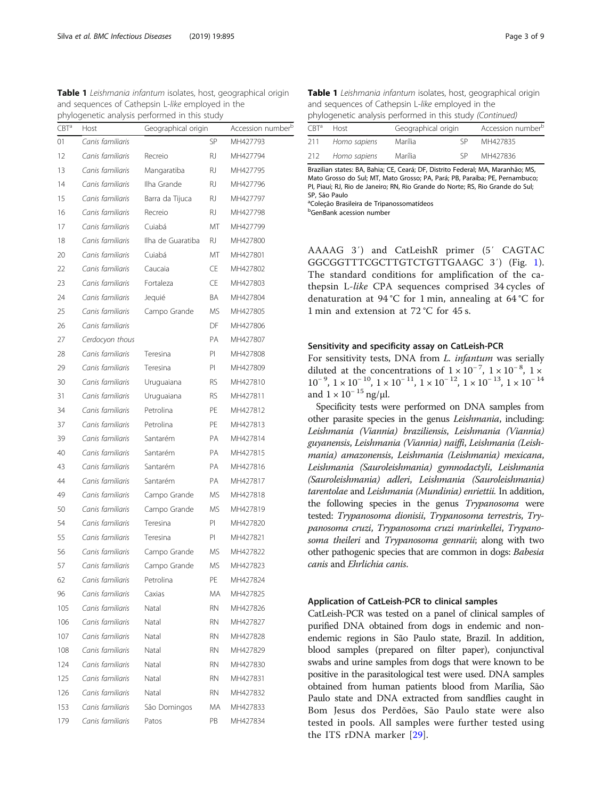<span id="page-2-0"></span>Table 1 Leishmania infantum isolates, host, geographical origin and sequences of Cathepsin L-like employed in the phylogenetic analysis performed in this study

| CBT <sup>a</sup> | Geographical origin<br>Host |                   |           | Accession number <sup>b</sup> |  |
|------------------|-----------------------------|-------------------|-----------|-------------------------------|--|
| 01               | Canis familiaris            |                   | SP        | MH427793                      |  |
| 12               | Canis familiaris            | Recreio           | RJ        | MH427794                      |  |
| 13               | Canis familiaris            | Mangaratiba       | RJ        | MH427795                      |  |
| 14               | Canis familiaris            | Ilha Grande       | RJ        | MH427796                      |  |
| 15               | Canis familiaris            | Barra da Tijuca   | RJ.       | MH427797                      |  |
| 16               | Canis familiaris            | Recreio           | RJ        | MH427798                      |  |
| 17               | Canis familiaris            | Cuiabá            | MT        | MH427799                      |  |
| 18               | Canis familiaris            | Ilha de Guaratiba | RJ.       | MH427800                      |  |
| 20               | Canis familiaris            | Cuiabá            | МT        | MH427801                      |  |
| 22               | Canis familiaris            | Caucaia           | CE        | MH427802                      |  |
| 23               | Canis familiaris            | Fortaleza         | CE        | MH427803                      |  |
| 24               | Canis familiaris            | Jequié            | BA        | MH427804                      |  |
| 25               | Canis familiaris            | Campo Grande      | ΜS        | MH427805                      |  |
| 26               | Canis familiaris            |                   | DF        | MH427806                      |  |
| 27               | Cerdocyon thous             |                   | PA        | MH427807                      |  |
| 28               | Canis familiaris            | Teresina          | PI        | MH427808                      |  |
| 29               | Canis familiaris            | Teresina          | PI        | MH427809                      |  |
| 30               | Canis familiaris            | Uruguaiana        | <b>RS</b> | MH427810                      |  |
| 31               | Canis familiaris            | Uruguaiana        | RS        | MH427811                      |  |
| 34               | Canis familiaris            | Petrolina         | PE        | MH427812                      |  |
| 37               | Canis familiaris            | Petrolina         | PE        | MH427813                      |  |
| 39               | Canis familiaris            | Santarém          | PA        | MH427814                      |  |
| 40               | Canis familiaris            | Santarém          | <b>PA</b> | MH427815                      |  |
| 43               | Canis familiaris            | Santarém          | PA        | MH427816                      |  |
| 44               | Canis familiaris            | Santarém          | РA        | MH427817                      |  |
| 49               | Canis familiaris            | Campo Grande      | MS        | MH427818                      |  |
| 50               | Canis familiaris            | Campo Grande      | MS        | MH427819                      |  |
| 54               | Canis familiaris            | Teresina          | PI        | MH427820                      |  |
| 55               | Canis familiaris            | Teresina          | PI        | MH427821                      |  |
| 56               | Canis familiaris            | Campo Grande      | МS        | MH427822                      |  |
| 57               | Canis familiaris            | Campo Grande      | MS        | MH427823                      |  |
| 62               | Canis familiaris            | Petrolina         | PE        | MH427824                      |  |
| 96               | Canis familiaris            | Caxias            | МA        | MH427825                      |  |
| 105              | Canis familiaris            | Natal             | RN        | MH427826                      |  |
| 106              | Canis familiaris            | Natal             | RN        | MH427827                      |  |
| 107              | Canis familiaris            | Natal             | RN        | MH427828                      |  |
| 108              | Canis familiaris            | Natal             | RN        | MH427829                      |  |
| 124              | Canis familiaris            | Natal             | RN        | MH427830                      |  |
| 125              | Canis familiaris            | Natal             | RN        | MH427831                      |  |
| 126              | Canis familiaris            | Natal             | RN        | MH427832                      |  |
| 153              | Canis familiaris            | São Domingos      | МA        | MH427833                      |  |
| 179              | Canis familiaris            | Patos             | PB        | MH427834                      |  |

| prividencie analysis perionned in this study (committed) |              |                     |    |                               |  |  |  |  |
|----------------------------------------------------------|--------------|---------------------|----|-------------------------------|--|--|--|--|
| CRT <sup>a</sup>                                         | Host         | Geographical origin |    | Accession number <sup>b</sup> |  |  |  |  |
| 211                                                      | Homo sapiens | Marília             | ςp | MH427835                      |  |  |  |  |
| 212.                                                     | Homo sapiens | Marília             | ςp | MH427836                      |  |  |  |  |

Brazilian states: BA, Bahia; CE, Ceará; DF, Distrito Federal; MA, Maranhão; MS, Mato Grosso do Sul; MT, Mato Grosso; PA, Pará; PB, Paraíba; PE, Pernambuco; PI, Piauí; RJ, Rio de Janeiro; RN, Rio Grande do Norte; RS, Rio Grande do Sul; SP, São Paulo

<sup>a</sup>Coleção Brasileira de Tripanossomatídeos

**b**GenBank acession number

AAAAG 3′) and CatLeishR primer (5′ CAGTAC GGCGGTTTCGCTTGTCTGTTGAAGC 3′) (Fig. [1](#page-3-0)). The standard conditions for amplification of the cathepsin L-like CPA sequences comprised 34 cycles of denaturation at 94 °C for 1 min, annealing at 64 °C for 1 min and extension at 72 °C for 45 s.

#### Sensitivity and specificity assay on CatLeish-PCR

For sensitivity tests, DNA from L. infantum was serially diluted at the concentrations of  $1 \times 10^{-7}$ ,  $1 \times 10^{-8}$ ,  $1 \times$  $10^{-9}$ ,  $1 \times 10^{-10}$ ,  $1 \times 10^{-11}$ ,  $1 \times 10^{-12}$ ,  $1 \times 10^{-13}$ ,  $1 \times 10^{-14}$ and  $1 \times 10^{-15}$  ng/µl.

Specificity tests were performed on DNA samples from other parasite species in the genus Leishmania, including: Leishmania (Viannia) braziliensis, Leishmania (Viannia) guyanensis, Leishmania (Viannia) naiffi, Leishmania (Leishmania) amazonensis, Leishmania (Leishmania) mexicana, Leishmania (Sauroleishmania) gymnodactyli, Leishmania (Sauroleishmania) adleri, Leishmania (Sauroleishmania) tarentolae and Leishmania (Mundinia) enriettii. In addition, the following species in the genus Trypanosoma were tested: Trypanosoma dionisii, Trypanosoma terrestris, Trypanosoma cruzi, Trypanosoma cruzi marinkellei, Trypanosoma theileri and Trypanosoma gennarii; along with two other pathogenic species that are common in dogs: Babesia canis and Ehrlichia canis.

#### Application of CatLeish-PCR to clinical samples

CatLeish-PCR was tested on a panel of clinical samples of purified DNA obtained from dogs in endemic and nonendemic regions in São Paulo state, Brazil. In addition, blood samples (prepared on filter paper), conjunctival swabs and urine samples from dogs that were known to be positive in the parasitological test were used. DNA samples obtained from human patients blood from Marília, São Paulo state and DNA extracted from sandflies caught in Bom Jesus dos Perdões, São Paulo state were also tested in pools. All samples were further tested using the ITS rDNA marker [\[29](#page-8-0)].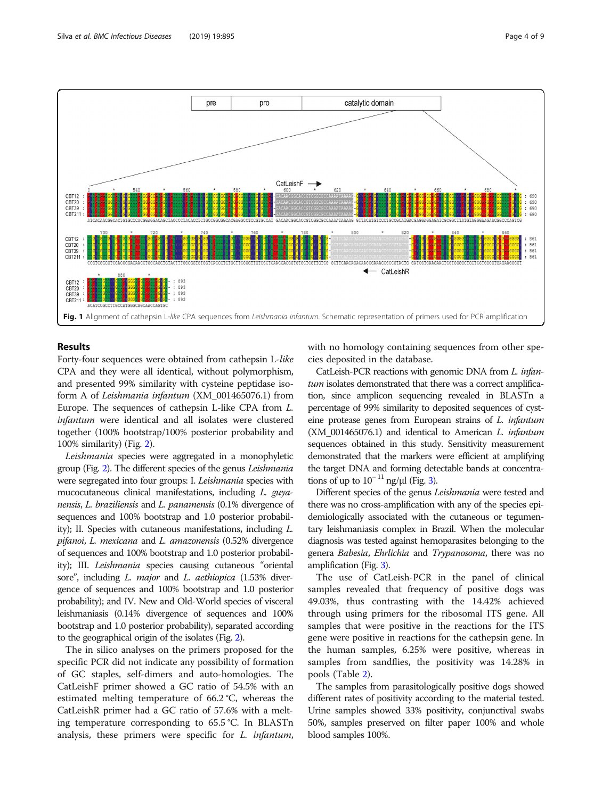

<span id="page-3-0"></span>

## Results

Forty-four sequences were obtained from cathepsin L-like CPA and they were all identical, without polymorphism, and presented 99% similarity with cysteine peptidase isoform A of Leishmania infantum (XM\_001465076.1) from Europe. The sequences of cathepsin L-like CPA from L. infantum were identical and all isolates were clustered together (100% bootstrap/100% posterior probability and 100% similarity) (Fig. [2\)](#page-4-0).

Leishmania species were aggregated in a monophyletic group (Fig. [2\)](#page-4-0). The different species of the genus Leishmania were segregated into four groups: I. Leishmania species with mucocutaneous clinical manifestations, including L. guyanensis, L. braziliensis and L. panamensis (0.1% divergence of sequences and 100% bootstrap and 1.0 posterior probability); II. Species with cutaneous manifestations, including L. pifanoi, L. mexicana and L. amazonensis (0.52% divergence of sequences and 100% bootstrap and 1.0 posterior probability); III. Leishmania species causing cutaneous "oriental sore", including L. major and L. aethiopica (1.53% divergence of sequences and 100% bootstrap and 1.0 posterior probability); and IV. New and Old-World species of visceral leishmaniasis (0.14% divergence of sequences and 100% bootstrap and 1.0 posterior probability), separated according to the geographical origin of the isolates (Fig. [2](#page-4-0)).

The in silico analyses on the primers proposed for the specific PCR did not indicate any possibility of formation of GC staples, self-dimers and auto-homologies. The CatLeishF primer showed a GC ratio of 54.5% with an estimated melting temperature of 66.2 °C, whereas the CatLeishR primer had a GC ratio of 57.6% with a melting temperature corresponding to 65.5 °C. In BLASTn analysis, these primers were specific for L. infantum, with no homology containing sequences from other species deposited in the database.

CatLeish-PCR reactions with genomic DNA from L. infantum isolates demonstrated that there was a correct amplification, since amplicon sequencing revealed in BLASTn a percentage of 99% similarity to deposited sequences of cysteine protease genes from European strains of L. infantum (XM\_001465076.1) and identical to American L. infantum sequences obtained in this study. Sensitivity measurement demonstrated that the markers were efficient at amplifying the target DNA and forming detectable bands at concentrations of up to  $10^{-11}$  ng/μl (Fig. [3](#page-5-0)).

Different species of the genus Leishmania were tested and there was no cross-amplification with any of the species epidemiologically associated with the cutaneous or tegumentary leishmaniasis complex in Brazil. When the molecular diagnosis was tested against hemoparasites belonging to the genera Babesia, Ehrlichia and Trypanosoma, there was no amplification (Fig. [3](#page-5-0)).

The use of CatLeish-PCR in the panel of clinical samples revealed that frequency of positive dogs was 49.03%, thus contrasting with the 14.42% achieved through using primers for the ribosomal ITS gene. All samples that were positive in the reactions for the ITS gene were positive in reactions for the cathepsin gene. In the human samples, 6.25% were positive, whereas in samples from sandflies, the positivity was 14.28% in pools (Table [2](#page-5-0)).

The samples from parasitologically positive dogs showed different rates of positivity according to the material tested. Urine samples showed 33% positivity, conjunctival swabs 50%, samples preserved on filter paper 100% and whole blood samples 100%.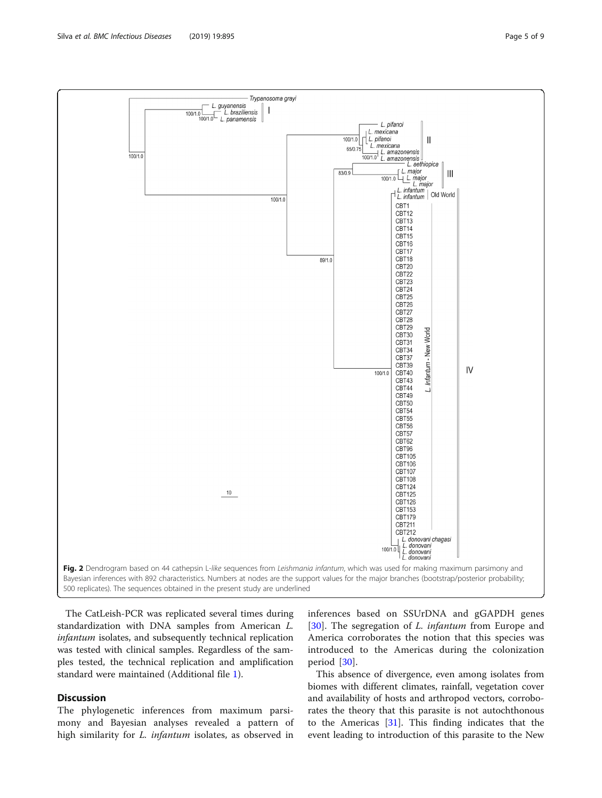

<span id="page-4-0"></span>

The CatLeish-PCR was replicated several times during standardization with DNA samples from American L. infantum isolates, and subsequently technical replication was tested with clinical samples. Regardless of the samples tested, the technical replication and amplification standard were maintained (Additional file [1](#page-7-0)).

## **Discussion**

The phylogenetic inferences from maximum parsimony and Bayesian analyses revealed a pattern of high similarity for *L. infantum* isolates, as observed in

inferences based on SSUrDNA and gGAPDH genes [[30\]](#page-8-0). The segregation of *L. infantum* from Europe and America corroborates the notion that this species was introduced to the Americas during the colonization period [[30\]](#page-8-0).

This absence of divergence, even among isolates from biomes with different climates, rainfall, vegetation cover and availability of hosts and arthropod vectors, corroborates the theory that this parasite is not autochthonous to the Americas  $[31]$ . This finding indicates that the event leading to introduction of this parasite to the New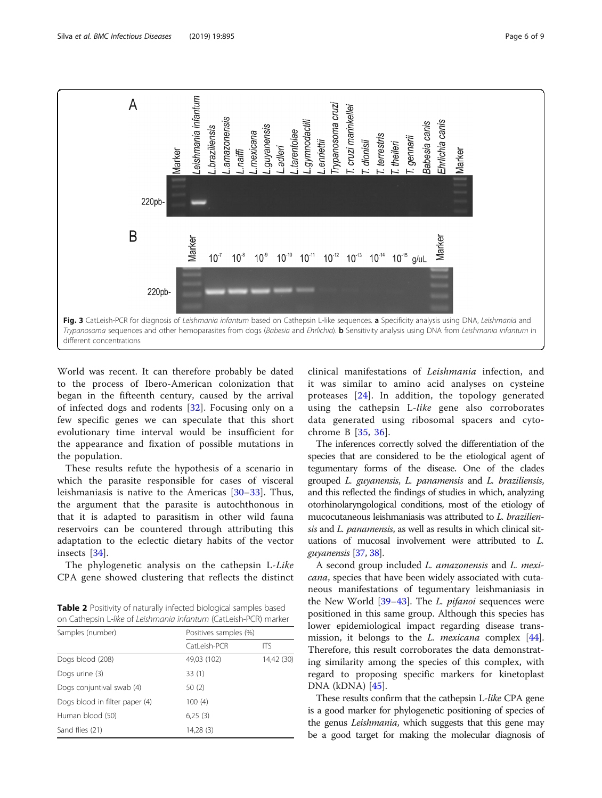<span id="page-5-0"></span>

World was recent. It can therefore probably be dated to the process of Ibero-American colonization that began in the fifteenth century, caused by the arrival of infected dogs and rodents [\[32](#page-8-0)]. Focusing only on a few specific genes we can speculate that this short evolutionary time interval would be insufficient for the appearance and fixation of possible mutations in the population.

These results refute the hypothesis of a scenario in which the parasite responsible for cases of visceral leishmaniasis is native to the Americas [\[30](#page-8-0)–[33](#page-8-0)]. Thus, the argument that the parasite is autochthonous in that it is adapted to parasitism in other wild fauna reservoirs can be countered through attributing this adaptation to the eclectic dietary habits of the vector insects [[34\]](#page-8-0).

The phylogenetic analysis on the cathepsin L-Like CPA gene showed clustering that reflects the distinct

Table 2 Positivity of naturally infected biological samples based on Cathepsin L-like of Leishmania infantum (CatLeish-PCR) marker

| Samples (number)               | Positives samples (%) |            |  |  |
|--------------------------------|-----------------------|------------|--|--|
|                                | CatLeish-PCR          | ITS        |  |  |
| Dogs blood (208)               | 49,03 (102)           | 14,42 (30) |  |  |
| Dogs urine (3)                 | 33(1)                 |            |  |  |
| Dogs conjuntival swab (4)      | 50 (2)                |            |  |  |
| Dogs blood in filter paper (4) | 100(4)                |            |  |  |
| Human blood (50)               | 6,25(3)               |            |  |  |
| Sand flies (21)                | 14,28 (3)             |            |  |  |

clinical manifestations of Leishmania infection, and it was similar to amino acid analyses on cysteine proteases [[24](#page-8-0)]. In addition, the topology generated using the cathepsin L-like gene also corroborates data generated using ribosomal spacers and cytochrome B [[35](#page-8-0), [36\]](#page-8-0).

The inferences correctly solved the differentiation of the species that are considered to be the etiological agent of tegumentary forms of the disease. One of the clades grouped L. guyanensis, L. panamensis and L. braziliensis, and this reflected the findings of studies in which, analyzing otorhinolaryngological conditions, most of the etiology of mucocutaneous leishmaniasis was attributed to L. braziliensis and L. panamensis, as well as results in which clinical situations of mucosal involvement were attributed to L. guyanensis [[37](#page-8-0), [38](#page-8-0)].

A second group included L. amazonensis and L. mexicana, species that have been widely associated with cutaneous manifestations of tegumentary leishmaniasis in the New World  $[39-43]$  $[39-43]$  $[39-43]$  $[39-43]$ . The L. *pifanoi* sequences were positioned in this same group. Although this species has lower epidemiological impact regarding disease transmission, it belongs to the  $L$ . *mexicana* complex  $[44]$  $[44]$ . Therefore, this result corroborates the data demonstrating similarity among the species of this complex, with regard to proposing specific markers for kinetoplast DNA (kDNA) [\[45\]](#page-8-0).

These results confirm that the cathepsin L-like CPA gene is a good marker for phylogenetic positioning of species of the genus Leishmania, which suggests that this gene may be a good target for making the molecular diagnosis of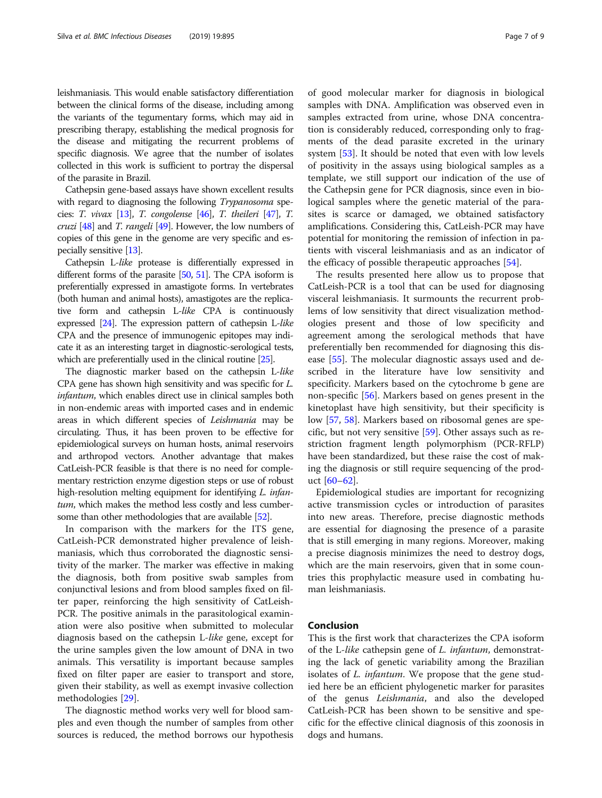leishmaniasis. This would enable satisfactory differentiation between the clinical forms of the disease, including among the variants of the tegumentary forms, which may aid in prescribing therapy, establishing the medical prognosis for the disease and mitigating the recurrent problems of specific diagnosis. We agree that the number of isolates collected in this work is sufficient to portray the dispersal of the parasite in Brazil.

Cathepsin gene-based assays have shown excellent results with regard to diagnosing the following Trypanosoma species: T. vivax  $[13]$ , T. congolense  $[46]$  $[46]$ , T. theileri  $[47]$ , T. cruzi [\[48\]](#page-8-0) and T. rangeli [[49](#page-8-0)]. However, the low numbers of copies of this gene in the genome are very specific and especially sensitive [[13](#page-7-0)].

Cathepsin L-like protease is differentially expressed in different forms of the parasite [[50,](#page-8-0) [51](#page-8-0)]. The CPA isoform is preferentially expressed in amastigote forms. In vertebrates (both human and animal hosts), amastigotes are the replicative form and cathepsin L-like CPA is continuously expressed [\[24\]](#page-8-0). The expression pattern of cathepsin L-like CPA and the presence of immunogenic epitopes may indicate it as an interesting target in diagnostic-serological tests, which are preferentially used in the clinical routine [\[25](#page-8-0)].

The diagnostic marker based on the cathepsin L-like CPA gene has shown high sensitivity and was specific for L. infantum, which enables direct use in clinical samples both in non-endemic areas with imported cases and in endemic areas in which different species of Leishmania may be circulating. Thus, it has been proven to be effective for epidemiological surveys on human hosts, animal reservoirs and arthropod vectors. Another advantage that makes CatLeish-PCR feasible is that there is no need for complementary restriction enzyme digestion steps or use of robust high-resolution melting equipment for identifying L. infantum, which makes the method less costly and less cumbersome than other methodologies that are available [[52](#page-8-0)].

In comparison with the markers for the ITS gene, CatLeish-PCR demonstrated higher prevalence of leishmaniasis, which thus corroborated the diagnostic sensitivity of the marker. The marker was effective in making the diagnosis, both from positive swab samples from conjunctival lesions and from blood samples fixed on filter paper, reinforcing the high sensitivity of CatLeish-PCR. The positive animals in the parasitological examination were also positive when submitted to molecular diagnosis based on the cathepsin L-like gene, except for the urine samples given the low amount of DNA in two animals. This versatility is important because samples fixed on filter paper are easier to transport and store, given their stability, as well as exempt invasive collection methodologies [\[29](#page-8-0)].

The diagnostic method works very well for blood samples and even though the number of samples from other sources is reduced, the method borrows our hypothesis

of good molecular marker for diagnosis in biological samples with DNA. Amplification was observed even in samples extracted from urine, whose DNA concentration is considerably reduced, corresponding only to fragments of the dead parasite excreted in the urinary system [[53\]](#page-8-0). It should be noted that even with low levels of positivity in the assays using biological samples as a template, we still support our indication of the use of the Cathepsin gene for PCR diagnosis, since even in biological samples where the genetic material of the parasites is scarce or damaged, we obtained satisfactory amplifications. Considering this, CatLeish-PCR may have potential for monitoring the remission of infection in patients with visceral leishmaniasis and as an indicator of the efficacy of possible therapeutic approaches [\[54\]](#page-8-0).

The results presented here allow us to propose that CatLeish-PCR is a tool that can be used for diagnosing visceral leishmaniasis. It surmounts the recurrent problems of low sensitivity that direct visualization methodologies present and those of low specificity and agreement among the serological methods that have preferentially ben recommended for diagnosing this disease [\[55](#page-8-0)]. The molecular diagnostic assays used and described in the literature have low sensitivity and specificity. Markers based on the cytochrome b gene are non-specific [[56](#page-8-0)]. Markers based on genes present in the kinetoplast have high sensitivity, but their specificity is low [[57](#page-8-0), [58\]](#page-8-0). Markers based on ribosomal genes are specific, but not very sensitive  $[59]$  $[59]$ . Other assays such as restriction fragment length polymorphism (PCR-RFLP) have been standardized, but these raise the cost of making the diagnosis or still require sequencing of the product  $[60-62]$  $[60-62]$  $[60-62]$  $[60-62]$  $[60-62]$ .

Epidemiological studies are important for recognizing active transmission cycles or introduction of parasites into new areas. Therefore, precise diagnostic methods are essential for diagnosing the presence of a parasite that is still emerging in many regions. Moreover, making a precise diagnosis minimizes the need to destroy dogs, which are the main reservoirs, given that in some countries this prophylactic measure used in combating human leishmaniasis.

## Conclusion

This is the first work that characterizes the CPA isoform of the L-like cathepsin gene of L. infantum, demonstrating the lack of genetic variability among the Brazilian isolates of L. infantum. We propose that the gene studied here be an efficient phylogenetic marker for parasites of the genus Leishmania, and also the developed CatLeish-PCR has been shown to be sensitive and specific for the effective clinical diagnosis of this zoonosis in dogs and humans.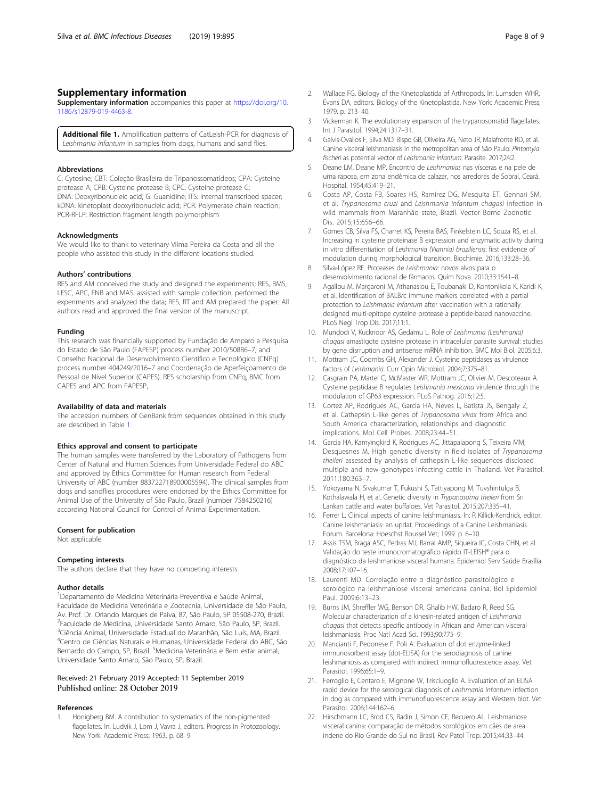## <span id="page-7-0"></span>Supplementary information

Supplementary information accompanies this paper at [https://doi.org/10.](https://doi.org/10.1186/s12879-019-4463-8) [1186/s12879-019-4463-8.](https://doi.org/10.1186/s12879-019-4463-8)

Additional file 1. Amplification patterns of CatLeish-PCR for diagnosis of Leishmania infantum in samples from dogs, humans and sand flies.

#### Abbreviations

C: Cytosine; CBT: Coleção Brasileira de Tripanossomatídeos; CPA: Cysteine protease A; CPB: Cysteine protease B; CPC: Cysteine protease C; DNA: Deoxyribonucleic acid; G: Guanidine; ITS: Internal transcribed spacer; kDNA: kinetoplast deoxyribonucleic acid; PCR: Polymerase chain reaction; PCR-RFLP: Restriction fragment length polymorphism

#### Acknowledgments

We would like to thank to veterinary Vilma Pereira da Costa and all the people who assisted this study in the different locations studied.

#### Authors' contributions

RES and AM conceived the study and designed the experiments; RES, BMS, LESC, APC, FNB and MAS, assisted with sample collection, performed the experiments and analyzed the data; RES, RT and AM prepared the paper. All authors read and approved the final version of the manuscript.

#### Funding

This research was financially supported by Fundação de Amparo a Pesquisa do Estado de São Paulo (FAPESP) process number 2010/50886–7, and Conselho Nacional de Desenvolvimento Científico e Tecnológico (CNPq) process number 404249/2016–7 and Coordenação de Aperfeiçoamento de Pessoal de Nível Superior (CAPES). RES scholarship from CNPq, BMC from CAPES and APC from FAPESP,

#### Availability of data and materials

The accession numbers of GenBank from sequences obtained in this study are described in Table [1](#page-2-0).

#### Ethics approval and consent to participate

The human samples were transferred by the Laboratory of Pathogens from Center of Natural and Human Sciences from Universidade Federal do ABC and approved by Ethics Committee for Human research from Federal University of ABC (number 883722718900005594). The clinical samples from dogs and sandflies procedures were endorsed by the Ethics Committee for Animal Use of the University of São Paulo, Brazil (number 7584250216) according National Council for Control of Animal Experimentation.

#### Consent for publication

Not applicable.

#### Competing interests

The authors declare that they have no competing interests.

#### Author details

1 Departamento de Medicina Veterinária Preventiva e Saúde Animal, Faculdade de Medicina Veterinária e Zootecnia, Universidade de São Paulo, Av. Prof. Dr. Orlando Marques de Paiva, 87, São Paulo, SP 05508-270, Brazil. <sup>2</sup> Faculdade de Medicina, Universidade Santo Amaro, São Paulo, SP, Brazil. <sup>3</sup>Ciência Animal, Universidade Estadual do Maranhão, São Luís, MA, Brazil. <sup>4</sup>Centro de Ciências Naturais e Humanas, Universidade Federal do ABC, São Bernardo do Campo, SP, Brazil. <sup>5</sup>Medicina Veterinária e Bem estar animal, Universidade Santo Amaro, São Paulo, SP, Brazil.

# Received: 21 February 2019 Accepted: 11 September 2019

#### References

Honigberg BM. A contribution to systematics of the non-pigmented flagellates. In: Ludvik J, Lom J, Vavra J, editors. Progress in Protozoology. New York: Academic Press; 1963. p. 68–9.

- 2. Wallace FG. Biology of the Kinetoplastida of Arthropods. In: Lumsden WHR, Evans DA, editors. Biology of the Kinetoplastida. New York: Academic Press; 1979. p. 213–40.
- 3. Vickerman K. The evolutionary expansion of the trypanosomatid flagellates. Int J Parasitol. 1994;24:1317–31.
- 4. Galvis-Ovallos F, Silva MD, Bispo GB, Oliveira AG, Neto JR, Malafronte RD, et al. Canine visceral leishmaniasis in the metropolitan area of São Paulo: Pintomyia fischeri as potential vector of Leishmania infantum. Parasite. 2017;24:2.
- 5. Deane LM, Deane MP. Encontro de Leishmanias nas vísceras e na pele de uma raposa, em zona endêmica de calazar, nos arredores de Sobral, Ceará. Hospital. 1954;45:419–21.
- 6. Costa AP, Costa FB, Soares HS, Ramirez DG, Mesquita ET, Gennari SM, et al. Trypanosoma cruzi and Leishmania infantum chagasi infection in wild mammals from Maranhão state, Brazil. Vector Borne Zoonotic Dis. 2015;15:656–66.
- 7. Gomes CB, Silva FS, Charret KS, Pereira BAS, Finkelstein LC, Souza RS, et al. Increasing in cysteine proteinase B expression and enzymatic activity during in vitro differentiation of Leishmania (Viannia) braziliensis: first evidence of modulation during morphological transition. Biochimie. 2016;133:28–36.
- 8. Silva-López RE. Proteases de Leishmania: novos alvos para o desenvolvimento racional de fármacos. Quím Nova. 2010;33:1541–8.
- 9. Agallou M, Margaroni M, Athanasiou E, Toubanaki D, Kontonikola K, Karidi K, et al. Identification of BALB/c immune markers correlated with a partial protection to Leishmania infantum after vaccination with a rationally designed multi-epitope cysteine protease a peptide-based nanovaccine. PLoS Negl Trop Dis. 2017;11:1.
- 10. Mundodi V, Kucknoor AS, Gedamu L, Role of Leishmania (Leishmania) chagasi amastigote cysteine protease in intracelular parasite survival: studies by gene disrruption and antisense mRNA inhibition. BMC Mol Biol. 2005;6:3.
- 11. Mottram JC, Coombs GH, Alexander J. Cysteine peptidases as virulence factors of Leishmania. Curr Opin Microbiol. 2004;7:375–81.
- 12. Casgrain PA, Martel C, McMaster WR, Mottram JC, Olivier M, Descoteaux A. Cysteine peptidase B regulates Leishmania mexicana virulence through the modulation of GP63 expression. PLoS Pathog. 2016;12:5.
- 13. Cortez AP, Rodrigues AC, Garcia HA, Neves L, Batista JS, Bengaly Z, et al. Cathepsin L-like genes of Trypanosoma vivax from Africa and South America characterization, relationships and diagnostic implications. Mol Cell Probes. 2008;23:44–51.
- 14. Garcia HA, Kamyingkird K, Rodrigues AC, Jittapalapong S, Teixeira MM, Desquesnes M. High genetic diversity in field isolates of Trypanosoma theileri assessed by analysis of cathepsin L-like sequences disclosed multiple and new genotypes infecting cattle in Thailand. Vet Parasitol. 2011;180:363–7.
- 15. Yokoyama N, Sivakumar T, Fukushi S, Tattiyapong M, Tuvshintulga B, Kothalawala H, et al. Genetic diversity in Trypanosoma theileri from Sri Lankan cattle and water buffaloes. Vet Parasitol. 2015;207:335–41.
- 16. Ferrer L. Clinical aspects of canine leishmaniasis. In: R Killick-Kendrick, editor. Canine leishmaniasis: an updat. Proceedings of a Canine Leishmaniasis Forum. Barcelona: Hoeschst Roussel Vet; 1999. p. 6–10.
- 17. Assis TSM, Braga ASC, Pedras MJ, Barral AMP, Siqueira IC, Costa CHN, et al. Validação do teste imunocromatográfico rápido IT-LEISH® para o diagnóstico da leishmaniose visceral humana. Epidemiol Serv Saúde Brasília. 2008;17:107–16.
- 18. Laurenti MD. Correlação entre o diagnóstico parasitológico e sorológico na leishmaniose visceral americana canina. Bol Epidemiol Paul. 2009;6:13–23.
- 19. Burns JM, Shreffler WG, Benson DR, Ghalib HW, Badaro R, Reed SG. Molecular characterization of a kinesin-related antigen of Leishmania chagasi that detects specific antibody in African and American visceral leishmaniasis. Proc Natl Acad Sci. 1993;90:775–9.
- 20. Mancianti F, Pedonese F, Poli A. Evaluation of dot enzyme-linked immunosorbent assay (dot-ELISA) for the serodiagnosis of canine leishmaniosis as compared with indirect immunofluorescence assay. Vet Parasitol. 1996;65:1–9.
- 21. Ferroglio E, Centaro E, Mignone W, Trisciuoglio A. Evaluation of an ELISA rapid device for the serological diagnosis of Leishmania infantum infection in dog as compared with immunofluorescence assay and Western blot. Vet Parasitol. 2006;144:162–6.
- 22. Hirschmann LC, Brod CS, Radin J, Simon CF, Recuero AL. Leishmaniose visceral canina: comparação de métodos sorológicos em cães de area indene do Rio Grande do Sul no Brasil. Rev Patol Trop. 2015;44:33–44.